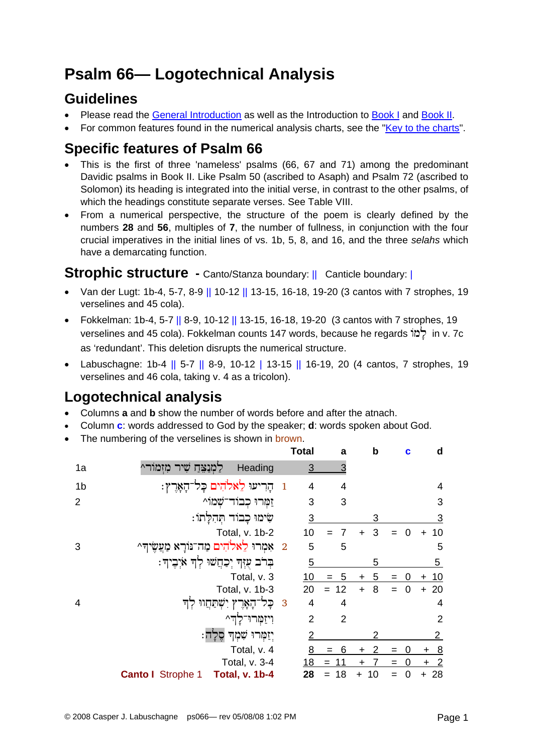# **Psalm 66— Logotechnical Analysis**

## **Guidelines**

- Please read the [General Introduction](http://www.labuschagne.nl/aspects.pdf) as well as the Introduction to [Book I](http://www.labuschagne.nl/intro1.pdf) and [Book II](http://www.labuschagne.nl/intro2.pdf).
- For common features found in the numerical analysis charts, see the "[Key to the charts](http://www.labuschagne.nl/keytocharts.pdf)".

## **Specific features of Psalm 66**

- This is the first of three 'nameless' psalms (66, 67 and 71) among the predominant Davidic psalms in Book II. Like Psalm 50 (ascribed to Asaph) and Psalm 72 (ascribed to Solomon) its heading is integrated into the initial verse, in contrast to the other psalms, of which the headings constitute separate verses. See Table VIII.
- From a numerical perspective, the structure of the poem is clearly defined by the numbers **28** and **56**, multiples of **7**, the number of fullness, in conjunction with the four crucial imperatives in the initial lines of vs. 1b, 5, 8, and 16, and the three *selahs* which have a demarcating function.

### **Strophic structure** - Canto/Stanza boundary: || Canticle boundary: ||

- Van der Lugt: 1b-4, 5-7, 8-9 || 10-12 || 13-15, 16-18, 19-20 (3 cantos with 7 strophes, 19 verselines and 45 cola).
- Fokkelman: 1b-4, 5-7 || 8-9, 10-12 || 13-15, 16-18, 19-20 (3 cantos with 7 strophes, 19 verselines and 45 cola). Fokkelman counts 147 words, because he regards  $\overrightarrow{a}$  in v. 7c as 'redundant'. This deletion disrupts the numerical structure.
- Labuschagne: 1b-4 || 5-7 || 8-9, 10-12 | 13-15 || 16-19, 20 (4 cantos, 7 strophes, 19 verselines and 46 cola, taking v. 4 as a tricolon).

# **Logotechnical analysis**

- Columns **a** and **b** show the number of words before and after the atnach.
- Column **c**: words addressed to God by the speaker; **d**: words spoken about God.
- The numbering of the verselines is shown in brown.

|                |                                             |                | <b>Total</b>   | a              | $\mathbf b$    | c        | d               |
|----------------|---------------------------------------------|----------------|----------------|----------------|----------------|----------|-----------------|
| 1a             | לַמְנַצֵּחַ שִׁיר מִזְמוֹר^<br>Heading      |                | $\overline{3}$ | 3              |                |          |                 |
| 1 <sub>b</sub> | ּהָרִיעוּ לֵאלֹהִים כָּל־הָאָרֶץ:           | $\overline{1}$ | 4              | 4              |                |          | 4               |
| $\overline{2}$ | זַמְרוּ כִבוֹד־שָׁמוֹ^                      |                | 3              | 3              |                |          | 3               |
|                | שִׂימוּ כָבוֹד תְּהְלַתוֹ:                  |                | 3              |                | 3              |          | 3               |
|                | Total, v. 1b-2                              |                | 10             | 7              | 3<br>+         | $\Omega$ | 10<br>$\ddot{}$ |
| 3              | 2 אַמְרוּ לֵאלֹהִים מַה־נּוֹרָא מַעֲשֶׂיךָ^ |                | 5              | 5              |                |          | 5               |
|                | בְּרֹב עָזְךָ יְכַחֲשׁוּ לְךָ אֹיָבִיךָ:    |                | 5              |                | 5              |          | $\overline{5}$  |
|                | Total, v. 3                                 |                | 10             | 5              | 5<br>$\pm$     | 0<br>$=$ | 10<br>٠         |
|                | Total, v. 1b-3                              |                | 20             | 12<br>$=$      | 8<br>$\ddot{}$ |          | 20<br>$\ddot{}$ |
| 4              | ּכָּל־הָאָרֶץ יִשְׁתַּחֲווּ לְדִּ           | $\overline{3}$ | 4              | 4              |                |          | 4               |
|                | וְיזַמְרוּ־לַדִּ^                           |                | $\overline{2}$ | $\overline{2}$ |                |          | $\overline{2}$  |
|                | יִזַמְּרוּ שָׁמְדְּ סֵלַה:                  |                | $\overline{2}$ |                | 2              |          | $\overline{2}$  |
|                | Total, v. 4                                 |                | 8              | 6              |                |          | 8               |
|                | Total, v. 3-4                               |                | <u>18</u>      |                |                | $=$      | $\overline{2}$  |
|                | Canto I Strophe 1 Total, v. 1b-4            |                | 28             | 18<br>$=$      | 10             |          | 28              |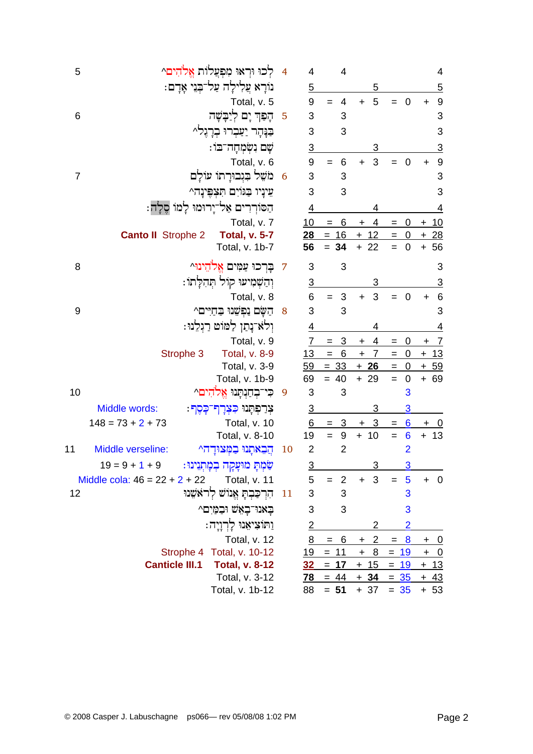| 5              |                                 | לכו וראו מפעלות אלהים^                 | $\overline{4}$ | 4                         | 4                     |                             |                                                      | 4                                    |
|----------------|---------------------------------|----------------------------------------|----------------|---------------------------|-----------------------|-----------------------------|------------------------------------------------------|--------------------------------------|
|                |                                 | נוֹרַא עֲלִילַה עַל-בְּנֵי אַדָם:      |                | $\overline{5}$            |                       | 5                           |                                                      | 5                                    |
|                |                                 | Total, v. 5                            |                | $\boldsymbol{9}$          | 4<br>$=$              | 5<br>$+$                    | $\overline{0}$<br>$=$                                | 9<br>+                               |
| 6              |                                 | הַפָּךְ יַם לְיַבַּשָׁה                | 5              | 3                         | 3                     |                             |                                                      | 3                                    |
|                |                                 | יוּ בְרַגֵּלִ^                         |                | 3                         | 3                     |                             |                                                      | 3                                    |
|                |                                 | ֹשָׁם נִשְׂמִחָּה־בּוֹ:                |                | $\overline{3}$            |                       | 3                           |                                                      | 3                                    |
|                |                                 | Total, v. 6                            |                | $\boldsymbol{9}$          | 6<br>$=$              | 3<br>$\ddot{}$              | $\overline{0}$                                       | $\boldsymbol{9}$<br>$\ddot{}$        |
| $\overline{7}$ |                                 | מֹשֵׁל בִּגְבוּרַתוֹ עוֹלַם            | 6              | $\ensuremath{\mathsf{3}}$ | 3                     |                             |                                                      | 3                                    |
|                |                                 | עֵינֵיו בַּגּוֹיִם תִּצְפֵּינַה^       |                | 3                         | 3                     |                             |                                                      | 3                                    |
|                |                                 | הַסּוֹרְרִים אַל־יָרוּמוּ לָמוֹ סֵלָה: |                | 4                         |                       | 4                           |                                                      | $\overline{4}$                       |
|                |                                 | Total, v. 7                            |                | <u>10</u>                 | 6<br>$=$              | 4<br>$\ddot{}$              | 0<br>$=$                                             | $+ 10$                               |
|                | <b>Canto II</b> Strophe 2       | <b>Total, v. 5-7</b>                   |                | 28                        | $= 16$                | $+ 12$                      | $\overline{\phantom{0}}$<br>$=$                      | $+28$                                |
|                |                                 | Total, v. 1b-7                         |                | 56                        | $= 34$                | $+22$                       | $\overline{0}$                                       | 56<br>$\ddot{}$                      |
| 8              |                                 | בַרִכוּ עַמִּים אֱלֹהֵינוּ^            | 7              | 3                         | 3                     |                             |                                                      | 3                                    |
|                |                                 | וִהַשְׁמִיעוּ קוֹל תְּהִלָּתוֹ:        |                | $\overline{3}$            |                       | 3                           |                                                      | <u>3</u>                             |
|                |                                 | Total, v. 8                            |                | 6                         | $\sqrt{3}$<br>$=$     | 3<br>$\pm$                  | $\mathbf 0$                                          | $6\phantom{1}6$<br>$\ddag$           |
| 9              |                                 | ּהַשָּׂם נַפְשָׁנוּ בַחַיִּים^         | 8              | 3                         | 3                     |                             |                                                      | 3                                    |
|                |                                 | וִלֹא נָתַן לַמּוֹט רַגְלֵנוּ:         |                | 4                         |                       | 4                           |                                                      | $\overline{4}$                       |
|                |                                 | Total, v. 9                            |                | $\overline{7}$            | 3<br>$=$              | 4<br>$\ddot{}$              | 0<br>$=$                                             | $+ 7$                                |
|                | Strophe 3                       | <b>Total, v. 8-9</b>                   |                | 13                        | 6<br>$\equiv$         | $\overline{7}$<br>$\pm$     | $\mathbf 0$<br>$=$                                   | $+13$                                |
|                |                                 | Total, v. 3-9                          |                | <u>59</u>                 | $= 33$                | $+26$                       | $\overline{0}$<br>$=$                                | $+ 59$                               |
|                |                                 | Total, v. 1b-9                         |                | 69                        | $= 40$                | $+29$                       | $\boldsymbol{0}$<br>$=$                              | $+ 69$                               |
| 10             | הים^                            | כִּי־בְחַנְתַּנוּ אֵי                  | 9              | 3                         | 3                     |                             | 3                                                    |                                      |
|                | Middle words:<br><u>. פֿסט:</u> | צִרַפְתָּנוּ כִּצָּדָ                  |                | <u>3</u>                  |                       | 3                           | 3                                                    |                                      |
|                | $148 = 73 + 2 + 73$             | Total, v. 10                           |                | 6                         | 3<br>$=$              | $\overline{3}$<br>$\ddot{}$ | $6\phantom{1}6$<br>$\hspace{1.6cm} = \hspace{1.6cm}$ | $+ 0$                                |
|                |                                 | Total, v. 8-10                         |                | 19                        | $9\,$                 | $+ 10$                      | $6\phantom{1}6$<br>$=$                               | 13<br>$\ddot{}$                      |
| 11             | Middle verseline:               | הֲבָאתָנוּ בִמְצוּדָה^                 | 10             | $\overline{2}$            | $\overline{2}$        |                             | $\overline{2}$                                       |                                      |
|                | $19 = 9 + 1 + 9$                | שַּׂמְתָ מוּעָקָה בְמָתְנִינוּ :       |                | <u>3</u>                  |                       | 3                           | 3                                                    |                                      |
|                | Middle cola: $46 = 22 + 2 + 22$ | Total, v. 11                           |                | 5                         | $\overline{2}$<br>$=$ | 3<br>$+$                    | 5                                                    | $+ 0$                                |
| 12             |                                 | הרכבת אנוש לראשנו                      | 11             | 3                         | 3                     |                             | 3                                                    |                                      |
|                |                                 | בְאנוּ־בָאֵשׁ וּבִמַּיִם^              |                | 3                         | 3                     |                             | 3                                                    |                                      |
|                |                                 | וַתּוֹצִיאָנוּ לַרְוַיָה:              |                | $\overline{2}$            |                       | 2                           | $\overline{2}$                                       |                                      |
|                |                                 | Total, v. 12                           |                | 8                         | 6<br>$=$              | $\mathbf{2}$<br>$+$         | $= 8$                                                | $+$ 0                                |
|                |                                 | Strophe 4 Total, v. 10-12              |                | <u>19</u>                 | $= 11$                | 8<br>$\ddot{}$              | <u>19</u><br>$=$                                     | $\ddot{}$<br>$\overline{\mathbf{0}}$ |
|                | <b>Canticle III.1</b>           | <b>Total, v. 8-12</b>                  |                | 32                        | $= 17$                | $+ 15$                      | $= 19$                                               | <u>+ 13</u>                          |
|                |                                 | Total, v. 3-12                         |                | <u>78</u>                 | $= 44$                | $+34$                       | $= 35$                                               | <u>+ 43</u>                          |
|                |                                 | Total, v. 1b-12                        |                | 88                        | $= 51$                |                             | $+ 37 = 35$                                          | $+ 53$                               |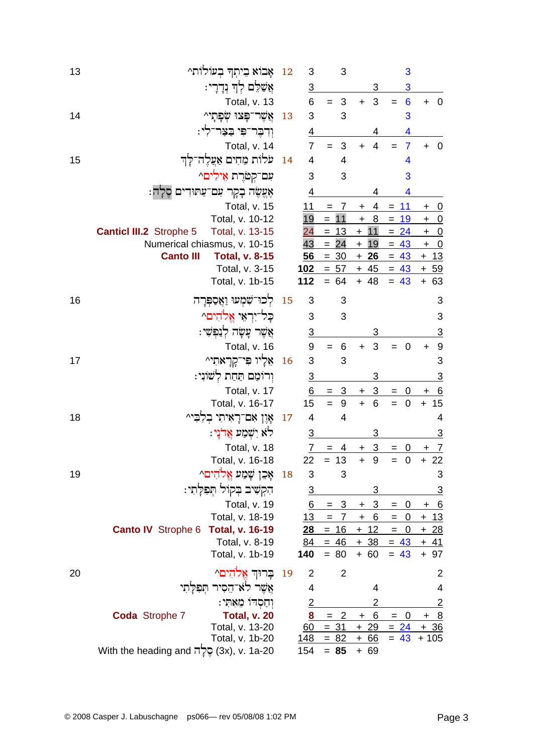| 13 | אָבוֹא בִיתְךְ בְעוֹלוֹת^                           | 12 | 3               | 3                       |                       | 3                                   |                                      |
|----|-----------------------------------------------------|----|-----------------|-------------------------|-----------------------|-------------------------------------|--------------------------------------|
|    | אַשָׁלֵם לְךָ נְדָדָי:                              |    | 3               |                         | 3                     | 3                                   |                                      |
|    | Total, v. 13                                        |    | 6               | $\mathbf{3}$            | 3<br>$\ddot{}$        | $6\phantom{1}6$                     | $\overline{\mathbf{0}}$<br>$\ddot{}$ |
| 14 | אֲשֶׁר־פַּצוּ שִׂפַּתֵי^                            | 13 | 3               | 3                       |                       | 3                                   |                                      |
|    | וִדְבֵר־פִּי בַצַּר־לִי:                            |    | <u>4</u>        |                         | 4                     | 4                                   |                                      |
|    | Total, v. 14                                        |    | $\overline{7}$  | 3                       | $\overline{4}$<br>$+$ | $\overline{7}$                      | $\overline{\mathbf{0}}$<br>$+$       |
| 15 | עלות מֵחִים אַעֲלֶה־לָךְ                            | 14 | $\overline{4}$  | 4                       |                       | 4                                   |                                      |
|    | עם־קטרת אילים^                                      |    | 3               | 3                       |                       | 3                                   |                                      |
|    | אֶצֱשֶׂה בָקָר עִם־עַתּוּדִים סֵלַה:                |    | 4               |                         | 4                     | 4                                   |                                      |
|    | Total, v. 15                                        |    | 11              | 7<br>$=$                | 4<br>$\mathbf +$      | 11<br>$=$                           | $\overline{0}$<br>$\pm$              |
|    | Total, v. 10-12                                     |    | 19              | $= 11$                  | 8<br>$\ddot{}$        | 19<br>$=$                           | $\overline{0}$<br>$\ddot{}$          |
|    | <b>Canticl III.2</b> Strophe 5<br>Total, v. 13-15   |    | $\overline{24}$ | $= 13$                  | $+ 11$                | $= 24$                              | $+$ 0                                |
|    | Numerical chiasmus, v. 10-15                        |    | 43              | 24<br>$=$               | $+$<br>19             | $= 43$                              | $+$ 0                                |
|    | <b>Canto III</b><br><b>Total, v. 8-15</b>           |    | 56              | $= 30$                  | $+26$                 | $= 43$                              | $+ 13$                               |
|    | Total, v. 3-15                                      |    | 1 <u>02</u>     | $= 57$                  | $+ 45$                | $= 43$                              | $+59$                                |
|    | Total, v. 1b-15                                     |    | 112             | $= 64$                  | $+ 48$                | $= 43$                              | $+ 63$                               |
| 16 | לִכוּ־שָׁמִעוּ וַאֲסַפְּרָה                         | 15 | 3               | 3                       |                       |                                     | 3                                    |
|    | כַּל־יִרְאֵי אֱלֹהִים^                              |    | 3               | 3                       |                       |                                     | 3                                    |
|    | אֲשֶׁר עָשָׂה לְנַפִּשִׁי:                          |    | $\overline{3}$  |                         | 3                     |                                     | $\overline{3}$                       |
|    | Total, v. 16                                        |    | $9\,$           | $6\phantom{1}6$<br>$=$  | 3<br>$\ddot{}$        | $\overline{0}$                      | $\overline{9}$<br>$\ddot{}$          |
| 17 | אֵלְיו פִּי־קְרָאתִי^                               | 16 | 3               | 3                       |                       |                                     | 3                                    |
|    | וְרוֹמַם תַּחַת לְשׁוֹנִי:                          |    | $\overline{3}$  |                         | 3                     |                                     | <u>3</u>                             |
|    | Total, v. 17                                        |    | 6               | 3<br>$=$                | $\sqrt{3}$<br>+       | $\mathbf 0$<br>$=$                  | 6                                    |
|    | Total, v. 16-17                                     |    | 15              | $\boldsymbol{9}$<br>$=$ | $\ddot{}$<br>6        | $\mathbf 0$<br>$=$                  | 15<br>$\ddot{}$                      |
| 18 | אָוֵן אִם־רָאִיתִי בִלְבִּי^                        | 17 | 4               | 4                       |                       |                                     | $\overline{4}$                       |
|    | לא יִשְׁמַע אֲדֹנָי:                                |    | $\overline{3}$  |                         | 3                     |                                     | <u>3</u>                             |
|    | Total, v. 18                                        |    | $\overline{7}$  | 4<br>$=$                | 3<br>+                | 0<br>$=$                            | $+ 7$                                |
|    | Total, v. 16-18                                     |    | 22              | $= 13$                  | $\ddot{}$<br>9        | $\boldsymbol{0}$<br>$=$             | $+22$                                |
| 19 | אָכֵן שָׁמַע אֱלֹהִים^                              | 18 | 3               | 3                       |                       |                                     | 3                                    |
|    | הִקְשִׁיב בְּקוֹל תְּפִלְתִי:                       |    | $\overline{3}$  |                         | 3                     |                                     | $\overline{3}$                       |
|    | Total, v. 19                                        |    | 6               | $= 3$                   | 3<br>$\ddot{}$        | $\mathbf 0$<br>$=$                  | $\underline{6}$<br>$\ddot{}$         |
|    | Total, v. 18-19                                     |    | <u>13</u>       | 7<br>$\qquad \qquad =$  | <u>6</u><br>$\pm$     | $\overline{0}$<br>$\equiv$          | <u>+ 13</u>                          |
|    | <b>Canto IV</b> Strophe 6<br><b>Total, v. 16-19</b> |    | 28              | $= 16$                  | $+ 12$                | $= 0$                               | $+28$                                |
|    | Total, v. 8-19                                      |    | <u>84</u>       | $= 46$                  | $+38$                 | $= 43$                              | <u>+ 41</u>                          |
|    | Total, v. 1b-19                                     |    | 140             | $= 80$                  | $+ 60$                | $= 43$                              | $+97$                                |
| 20 | בַרוּךְ אֱלֹהִים^                                   | 19 | $\overline{2}$  | $\overline{2}$          |                       |                                     | 2                                    |
|    | אֲשֶׁר לאִ־הֵסִיר תִּפְלָתִי                        |    | 4               |                         | 4                     |                                     | 4                                    |
|    | וְחַסְרוּ מֵאָתִי:                                  |    | $\overline{2}$  |                         | 2                     |                                     | $\overline{2}$                       |
|    | <b>Coda Strophe 7</b><br><b>Total, v. 20</b>        |    | 8               | $\overline{2}$<br>$=$   | 6<br>$\ddot{}$        | $\overline{\mathbf{0}}$<br>$\equiv$ | $\frac{8}{1}$<br>$\ddot{}$           |
|    | Total, v. 13-20                                     |    | 60              | $= 31$                  | $+29$                 | $= 24$                              | $+36$                                |
|    | Total, v. 1b-20                                     |    | <u>148</u>      | $= 82$                  | <u>+ 66</u>           | $= 43$                              | $+105$                               |
|    | 3x), v. 1a-20 בְלָה With the heading and            |    | 154             | $= 85$                  | + 69                  |                                     |                                      |
|    |                                                     |    |                 |                         |                       |                                     |                                      |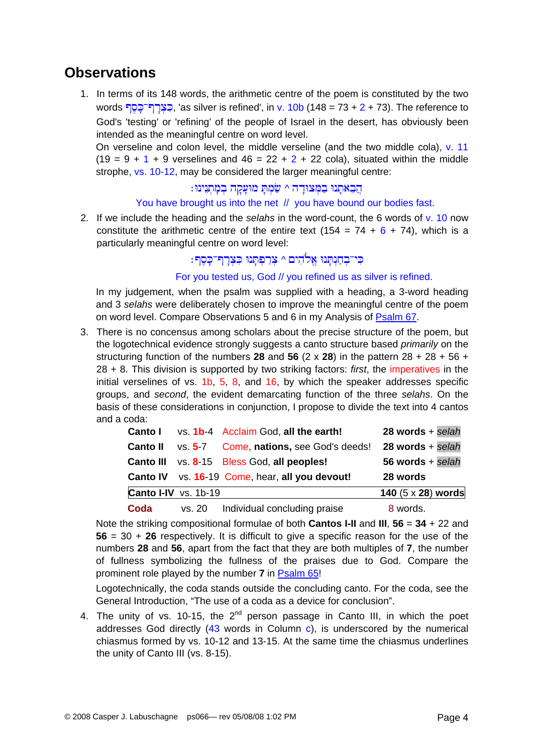### **Observations**

1. In terms of its 148 words, the arithmetic centre of the poem is constituted by the two words בְצְרַךְ-כָּסֶךְ, 'as silver is refined', in v. 10b (148 = 73 + 2 + 73). The reference to God's 'testing' or 'refining' of the people of Israel in the desert, has obviously been intended as the meaningful centre on word level.

On verseline and colon level, the middle verseline (and the two middle cola), v. 11  $(19 = 9 + 1 + 9$  verselines and  $46 = 22 + 2 + 22$  cola), situated within the middle strophe, vs. 10-12, may be considered the larger meaningful centre:

#### הֲבֵאתָנוּ בַמְצוּדָה ^ שַׂמְתָ מוּעָקָה בְמָתְנִינוּ∶

#### You have brought us into the net // you have bound our bodies fast.

2. If we include the heading and the *selahs* in the word-count, the 6 words of v. 10 now constitute the arithmetic centre of the entire text (154 =  $74 + 6 + 74$ ), which is a particularly meaningful centre on word level:

#### כי־בְחַנְתַנוּ אֱלֹהִים ^ צְרַפְתַנוּ כְּצְרַף־כָּסֶף:

For you tested us, God // you refined us as silver is refined.

In my judgement, when the psalm was supplied with a heading, a 3-word heading and 3 *selahs* were deliberately chosen to improve the meaningful centre of the poem on word level. Compare Observations 5 and 6 in my Analysis of [Psalm 67](http://www.labuschagne.nl/ps067.pdf).

3. There is no concensus among scholars about the precise structure of the poem, but the logotechnical evidence strongly suggests a canto structure based *primarily* on the structuring function of the numbers 28 and 56  $(2 \times 28)$  in the pattern  $28 + 28 + 56 +$ 28 + 8. This division is supported by two striking factors: *first*, the imperatives in the initial verselines of vs. 1b, 5, 8, and 16, by which the speaker addresses specific groups, and *second*, the evident demarcating function of the three *selahs*. On the basis of these considerations in conjunction, I propose to divide the text into 4 cantos and a coda:

| Canto I         |                      | vs. 1b-4 Acclaim God, all the earth!              | $28$ words + selah          |
|-----------------|----------------------|---------------------------------------------------|-----------------------------|
| <b>Canto II</b> |                      | vs. 5-7 Come, nations, see God's deeds!           | $28$ words + selah          |
|                 |                      | <b>Canto III</b> vs. 8-15 Bless God, all peoples! | 56 words + $\textit{selah}$ |
|                 |                      | Canto IV vs. 16-19 Come, hear, all you devout!    | 28 words                    |
|                 | Canto I-IV vs. 1b-19 |                                                   | 140 $(5 \times 28)$ words   |
| Coda            |                      | vs. 20   Individual concluding praise             | 8 words.                    |

Note the striking compositional formulae of both **Cantos I-II** and **III**, **56** = **34** + 22 and **56** = 30 + **26** respectively. It is difficult to give a specific reason for the use of the numbers **28** and **56**, apart from the fact that they are both multiples of **7**, the number of fullness symbolizing the fullness of the praises due to God. Compare the prominent role played by the number **7** in [Psalm 65](http://www.labuschagne.nl/ps065.pdf)!

Logotechnically, the coda stands outside the concluding canto. For the coda, see the General Introduction, "The use of a coda as a device for conclusion".

4. The unity of vs. 10-15, the  $2^{nd}$  person passage in Canto III, in which the poet addresses God directly (43 words in Column c), is underscored by the numerical chiasmus formed by vs. 10-12 and 13-15. At the same time the chiasmus underlines the unity of Canto III (vs. 8-15).